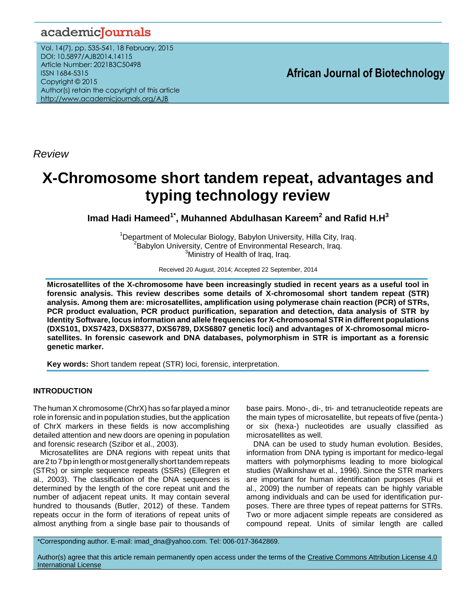# academicJournals

Vol. 14(7), pp. 535-541, 18 February, 2015 DOI: 10.5897/AJB2014.14115 Article Number: 2021B3C50498 ISSN 1684-5315 Copyright © 2015 Author(s) retain the copyright of this article <http://www.academicjournals.org/AJB>

# **African Journal of Biotechnology**

*Review*

# **X-Chromosome short tandem repeat, advantages and typing technology review**

**Imad Hadi Hameed1\* , Muhanned Abdulhasan Kareem<sup>2</sup> and Rafid H.H<sup>3</sup>**

<sup>1</sup>Department of Molecular Biology, Babylon University, Hilla City, Iraq. <sup>2</sup> Babylon University, Centre of Environmental Research, Iraq. <sup>3</sup>Ministry of Health of Iraq, Iraq.

Received 20 August, 2014; Accepted 22 September, 2014

**Microsatellites of the X-chromosome have been increasingly studied in recent years as a useful tool in forensic analysis. This review describes some details of X-chromosomal short tandem repeat (STR) analysis. Among them are: microsatellites, amplification using polymerase chain reaction (PCR) of STRs, PCR product evaluation, PCR product purification, separation and detection, data analysis of STR by Identity Software, locus information and allele frequencies for X-chromosomal STR in different populations (DXS101, DXS7423, DXS8377, DXS6789, DXS6807 genetic loci) and advantages of X-chromosomal microsatellites. In forensic casework and DNA databases, polymorphism in STR is important as a forensic genetic marker.**

**Key words:** Short tandem repeat (STR) loci, forensic, interpretation.

#### **INTRODUCTION**

The human X chromosome (ChrX) has so far played a minor role in forensic and in population studies, but the application of ChrX markers in these fields is now accomplishing detailed attention and new doors are opening in population and forensic research (Szibor et al., 2003).

Microsatellites are DNA regions with repeat units that are2to7bp inlengthormostgenerallyshorttandem repeats (STRs) or simple sequence repeats (SSRs) (Ellegren et al., 2003). The classification of the DNA sequences is determined by the length of the core repeat unit and the number of adjacent repeat units. It may contain several hundred to thousands (Butler, 2012) of these. Tandem repeats occur in the form of iterations of repeat units of almost anything from a single base pair to thousands of base pairs. Mono-, di-, tri- and tetranucleotide repeats are the main types of microsatellite, but repeats of five (penta-) or six (hexa-) nucleotides are usually classified as microsatellites as well.

DNA can be used to study human evolution. Besides, information from DNA typing is important for medico-legal matters with polymorphisms leading to more biological studies (Walkinshaw et al., 1996). Since the STR markers are important for human identification purposes (Rui et al., 2009) the number of repeats can be highly variable among individuals and can be used for identification purposes. There are three types of repeat patterns for STRs. Two or more adjacent simple repeats are considered as compound repeat. Units of similar length are called

\*Corresponding author. E-mail: imad\_dna@yahoo.com. Tel: 006-017-3642869.

Author(s) agree that this article remain permanently open access under the terms of the Creative Commons Attribution License 4.0 [International License](http://creativecommons.org/licenses/by/4.0/deed.en_US)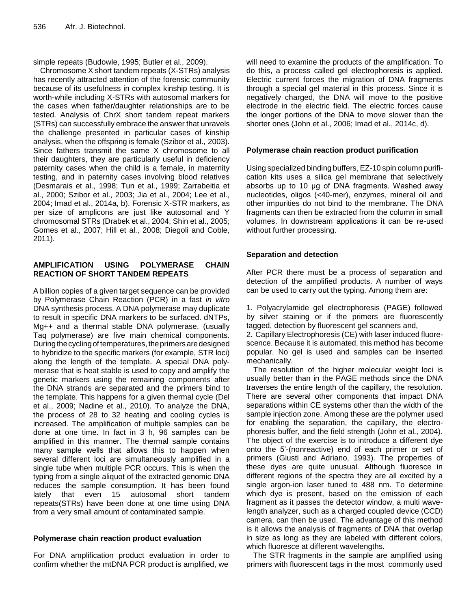simple repeats (Budowle, 1995; Butler et al., 2009).

Chromosome X short tandem repeats (X-STRs) analysis has recently attracted attention of the forensic community because of its usefulness in complex kinship testing. It is worth-while including X-STRs with autosomal markers for the cases when father/daughter relationships are to be tested. Analysis of ChrX short tandem repeat markers (STRs) can successfully embrace the answer that unravels the challenge presented in particular cases of kinship analysis, when the offspring is female (Szibor et al., 2003). Since fathers transmit the same X chromosome to all their daughters, they are particularly useful in deficiency paternity cases when the child is a female, in maternity testing, and in paternity cases involving blood relatives (Desmarais et al., 1998; Tun et al., 1999; Zarrabeitia et al., 2000; Szibor et al., 2003; Jia et al., 2004; Lee et al., 2004; Imad et al., 2014a, b). Forensic X-STR markers, as per size of amplicons are just like autosomal and Y chromosomal STRs (Drabek et al., 2004; Shin et al., 2005; Gomes et al., 2007; Hill et al., 2008; Diegoli and Coble, 2011).

## **AMPLIFICATION USING POLYMERASE CHAIN REACTION OF SHORT TANDEM REPEATS**

A billion copies of a given target sequence can be provided by Polymerase Chain Reaction (PCR) in a fast *in vitro* DNA synthesis process. A DNA polymerase may duplicate to result in specific DNA markers to be surfaced. dNTPs, Mg++ and a thermal stable DNA polymerase, (usually Taq polymerase) are five main chemical components. During the cycling of temperatures, the primers are designed to hybridize to the specific markers (for example, STR loci) along the length of the template. A special DNA polymerase that is heat stable is used to copy and amplify the genetic markers using the remaining components after the DNA strands are separated and the primers bind to the template. This happens for a given thermal cycle (Del et al., 2009; Nadine et al., 2010). To analyze the DNA, the process of 28 to 32 heating and cooling cycles is increased. The amplification of multiple samples can be done at one time. In fact in 3 h, 96 samples can be amplified in this manner. The thermal sample contains many sample wells that allows this to happen when several different loci are simultaneously amplified in a single tube when multiple PCR occurs. This is when the typing from a single aliquot of the extracted genomic DNA reduces the sample consumption. It has been found lately that even 15 autosomal short tandem repeats(STRs) have been done at one time using DNA from a very small amount of contaminated sample.

# **Polymerase chain reaction product evaluation**

For DNA amplification product evaluation in order to confirm whether the mtDNA PCR product is amplified, we

will need to examine the products of the amplification. To do this, a process called gel electrophoresis is applied. Electric current forces the migration of DNA fragments through a special gel material in this process. Since it is negatively charged, the DNA will move to the positive electrode in the electric field. The electric forces cause the longer portions of the DNA to move slower than the shorter ones (John et al., 2006; Imad et al., 2014c, d).

# **Polymerase chain reaction product purification**

Using specialized binding buffers, EZ-10 spin column purification kits uses a silica gel membrane that selectively absorbs up to 10 μg of DNA fragments. Washed away nucleotides, oligos (<40-mer), enzymes, mineral oil and other impurities do not bind to the membrane. The DNA fragments can then be extracted from the column in small volumes. In downstream applications it can be re-used without further processing.

# **Separation and detection**

After PCR there must be a process of separation and detection of the amplified products. A number of ways can be used to carry out the typing. Among them are:

1. Polyacrylamide gel electrophoresis (PAGE) followed by silver staining or if the primers are fluorescently tagged, detection by fluorescent gel scanners and,

2. Capillary Electrophoresis (CE) with laser induced fluorescence. Because it is automated, this method has become popular. No gel is used and samples can be inserted mechanically.

The resolution of the higher molecular weight loci is usually better than in the PAGE methods since the DNA traverses the entire length of the capillary, the resolution. There are several other components that impact DNA separations within CE systems other than the width of the sample injection zone. Among these are the polymer used for enabling the separation, the capillary, the electrophoresis buffer, and the field strength (John et al., 2004). The object of the exercise is to introduce a different dye onto the 5'-(nonreactive) end of each primer or set of primers (Giusti and Adriano, 1993). The properties of these dyes are quite unusual. Although fluoresce in different regions of the spectra they are all excited by a single argon-ion laser tuned to 488 nm. To determine which dye is present, based on the emission of each fragment as it passes the detector window, a multi wavelength analyzer, such as a charged coupled device (CCD) camera, can then be used. The advantage of this method is it allows the analysis of fragments of DNA that overlap in size as long as they are labeled with different colors, which fluoresce at different wavelengths.

The STR fragments in the sample are amplified using primers with fluorescent tags in the most commonly used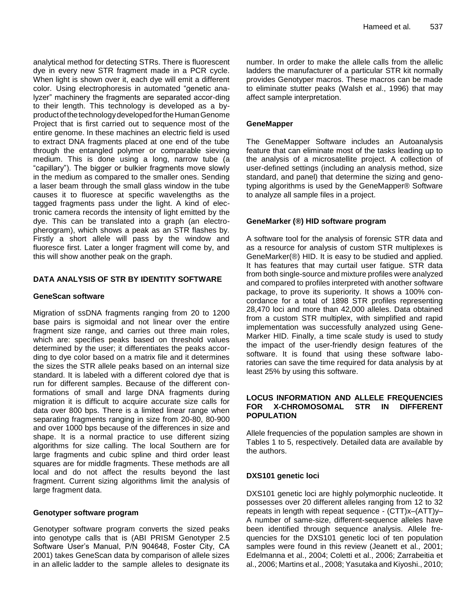analytical method for detecting STRs. There is fluorescent dye in every new STR fragment made in a PCR cycle. When light is shown over it, each dye will emit a different color. Using electrophoresis in automated "genetic analyzer" machinery the fragments are separated accor-ding to their length. This technology is developed as a byproductofthetechnologydevelopedfortheHumanGenome Project that is first carried out to sequence most of the entire genome. In these machines an electric field is used to extract DNA fragments placed at one end of the tube through the entangled polymer or comparable sieving medium. This is done using a long, narrow tube (a "capillary"). The bigger or bulkier fragments move slowly in the medium as compared to the smaller ones. Sending a laser beam through the small glass window in the tube causes it to fluoresce at specific wavelengths as the tagged fragments pass under the light. A kind of electronic camera records the intensity of light emitted by the dye. This can be translated into a graph (an electropherogram), which shows a peak as an STR flashes by. Firstly a short allele will pass by the window and fluoresce first. Later a longer fragment will come by, and this will show another peak on the graph.

# **DATA ANALYSIS OF STR BY IDENTITY SOFTWARE**

#### **GeneScan software**

Migration of ssDNA fragments ranging from 20 to 1200 base pairs is sigmoidal and not linear over the entire fragment size range, and carries out three main roles, which are: specifies peaks based on threshold values determined by the user; it differentiates the peaks according to dye color based on a matrix file and it determines the sizes the STR allele peaks based on an internal size standard. It is labeled with a different colored dye that is run for different samples. Because of the different conformations of small and large DNA fragments during migration it is difficult to acquire accurate size calls for data over 800 bps. There is a limited linear range when separating fragments ranging in size from 20-80, 80-900 and over 1000 bps because of the differences in size and shape. It is a normal practice to use different sizing algorithms for size calling. The local Southern are for large fragments and cubic spline and third order least squares are for middle fragments. These methods are all local and do not affect the results beyond the last fragment. Current sizing algorithms limit the analysis of large fragment data.

#### **Genotyper software program**

Genotyper software program converts the sized peaks into genotype calls that is (ABI PRISM Genotyper 2.5 Software User's Manual, P/N 904648, Foster City, CA 2001) takes GeneScan data by comparison of allele sizes in an allelic ladder to the sample alleles to designate its

number. In order to make the allele calls from the allelic ladders the manufacturer of a particular STR kit normally provides Genotyper macros. These macros can be made to eliminate stutter peaks (Walsh et al., 1996) that may affect sample interpretation.

## **GeneMapper**

The GeneMapper Software includes an Autoanalysis feature that can eliminate most of the tasks leading up to the analysis of a microsatellite project. A collection of user-defined settings (including an analysis method, size standard, and panel) that determine the sizing and genotyping algorithms is used by the GeneMapper® Software to analyze all sample files in a project.

#### **GeneMarker (®) HID software program**

A software tool for the analysis of forensic STR data and as a resource for analysis of custom STR multiplexes is GeneMarker(®) HID. It is easy to be studied and applied. It has features that may curtail user fatigue. STR data from both single-source and mixture profiles were analyzed and compared to profiles interpreted with another software package, to prove its superiority. It shows a 100% concordance for a total of 1898 STR profiles representing 28,470 loci and more than 42,000 alleles. Data obtained from a custom STR multiplex, with simplified and rapid implementation was successfully analyzed using Gene-Marker HID. Finally, a time scale study is used to study the impact of the user-friendly design features of the software. It is found that using these software laboratories can save the time required for data analysis by at least 25% by using this software.

#### **LOCUS INFORMATION AND ALLELE FREQUENCIES FOR X-CHROMOSOMAL STR IN DIFFERENT POPULATION**

Allele frequencies of the population samples are shown in Tables 1 to 5, respectively. Detailed data are available by the authors.

#### **DXS101 genetic loci**

DXS101 genetic loci are highly polymorphic nucleotide. It possesses over 20 different alleles ranging from 12 to 32 repeats in length with repeat sequence - (CTT)x–(ATT)y– A number of same-size, different-sequence alleles have been identified through sequence analysis. Allele frequencies for the DXS101 genetic loci of ten population samples were found in this review (Jeanett et al., 2001; Edelmanna et al., 2004; Coletti et al., 2006; Zarrabeitia et al., 2006; Martins et al., 2008; Yasutaka and Kiyoshi., 2010;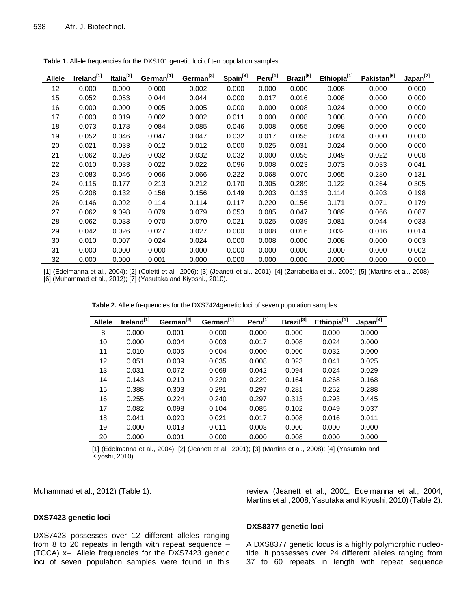| <b>Allele</b>   | Ireland <sup>[1]</sup> | Italia <sup>[2]</sup> | German <sup>[1]</sup> | German <sup>[3]</sup> | Spin <sup>[4]</sup> | Peru <sup>[1]</sup> | Brazil <sup>[5]</sup> | Ethiopia <sup>[1]</sup> | Pakistan <sup>[6]</sup> | Japan <sup>[7]</sup> |
|-----------------|------------------------|-----------------------|-----------------------|-----------------------|---------------------|---------------------|-----------------------|-------------------------|-------------------------|----------------------|
| 12 <sup>2</sup> | 0.000                  | 0.000                 | 0.000                 | 0.002                 | 0.000               | 0.000               | 0.000                 | 0.008                   | 0.000                   | 0.000                |
| 15              | 0.052                  | 0.053                 | 0.044                 | 0.044                 | 0.000               | 0.017               | 0.016                 | 0.008                   | 0.000                   | 0.000                |
| 16              | 0.000                  | 0.000                 | 0.005                 | 0.005                 | 0.000               | 0.000               | 0.008                 | 0.024                   | 0.000                   | 0.000                |
| 17              | 0.000                  | 0.019                 | 0.002                 | 0.002                 | 0.011               | 0.000               | 0.008                 | 0.008                   | 0.000                   | 0.000                |
| 18              | 0.073                  | 0.178                 | 0.084                 | 0.085                 | 0.046               | 0.008               | 0.055                 | 0.098                   | 0.000                   | 0.000                |
| 19              | 0.052                  | 0.046                 | 0.047                 | 0.047                 | 0.032               | 0.017               | 0.055                 | 0.024                   | 0.000                   | 0.000                |
| 20              | 0.021                  | 0.033                 | 0.012                 | 0.012                 | 0.000               | 0.025               | 0.031                 | 0.024                   | 0.000                   | 0.000                |
| 21              | 0.062                  | 0.026                 | 0.032                 | 0.032                 | 0.032               | 0.000               | 0.055                 | 0.049                   | 0.022                   | 0.008                |
| 22              | 0.010                  | 0.033                 | 0.022                 | 0.022                 | 0.096               | 0.008               | 0.023                 | 0.073                   | 0.033                   | 0.041                |
| 23              | 0.083                  | 0.046                 | 0.066                 | 0.066                 | 0.222               | 0.068               | 0.070                 | 0.065                   | 0.280                   | 0.131                |
| 24              | 0.115                  | 0.177                 | 0.213                 | 0.212                 | 0.170               | 0.305               | 0.289                 | 0.122                   | 0.264                   | 0.305                |
| 25              | 0.208                  | 0.132                 | 0.156                 | 0.156                 | 0.149               | 0.203               | 0.133                 | 0.114                   | 0.203                   | 0.198                |
| 26              | 0.146                  | 0.092                 | 0.114                 | 0.114                 | 0.117               | 0.220               | 0.156                 | 0.171                   | 0.071                   | 0.179                |
| 27              | 0.062                  | 9.098                 | 0.079                 | 0.079                 | 0.053               | 0.085               | 0.047                 | 0.089                   | 0.066                   | 0.087                |
| 28              | 0.062                  | 0.033                 | 0.070                 | 0.070                 | 0.021               | 0.025               | 0.039                 | 0.081                   | 0.044                   | 0.033                |
| 29              | 0.042                  | 0.026                 | 0.027                 | 0.027                 | 0.000               | 0.008               | 0.016                 | 0.032                   | 0.016                   | 0.014                |
| 30              | 0.010                  | 0.007                 | 0.024                 | 0.024                 | 0.000               | 0.008               | 0.000                 | 0.008                   | 0.000                   | 0.003                |
| 31              | 0.000                  | 0.000                 | 0.000                 | 0.000                 | 0.000               | 0.000               | 0.000                 | 0.000                   | 0.000                   | 0.002                |
| 32              | 0.000                  | 0.000                 | 0.001                 | 0.000                 | 0.000               | 0.000               | 0.000                 | 0.000                   | 0.000                   | 0.000                |

**Table 1.** Allele frequencies for the DXS101 genetic loci of ten population samples.

[1] (Edelmanna et al., 2004); [2] (Coletti et al., 2006); [3] (Jeanett et al., 2001); [4] (Zarrabeitia et al., 2006); [5] (Martins et al., 2008); [6] (Muhammad et al., 2012); [7] [\(Yasutaka a](http://link.springer.com/search?facet-author=%22Yasutaka+Nakamura%22)nd [Kiyoshi.,](http://link.springer.com/search?facet-author=%22Kiyoshi+Minaguchi%22) 2010).

**Table 2.** Allele frequencies for the DXS7424genetic loci of seven population samples.

| <b>Allele</b> | Ireland <sup>[1]</sup> | German <sup>[2]</sup> | German <sup>[1]</sup> | Peru <sup>[1]</sup> | Brazil <sup>[3]</sup> | Ethiopia <sup>[1]</sup> | Japan $^{[4]}$ |
|---------------|------------------------|-----------------------|-----------------------|---------------------|-----------------------|-------------------------|----------------|
| 8             | 0.000                  | 0.001                 | 0.000                 | 0.000               | 0.000                 | 0.000                   | 0.000          |
| 10            | 0.000                  | 0.004                 | 0.003                 | 0.017               | 0.008                 | 0.024                   | 0.000          |
| 11            | 0.010                  | 0.006                 | 0.004                 | 0.000               | 0.000                 | 0.032                   | 0.000          |
| 12            | 0.051                  | 0.039                 | 0.035                 | 0.008               | 0.023                 | 0.041                   | 0.025          |
| 13            | 0.031                  | 0.072                 | 0.069                 | 0.042               | 0.094                 | 0.024                   | 0.029          |
| 14            | 0.143                  | 0.219                 | 0.220                 | 0.229               | 0.164                 | 0.268                   | 0.168          |
| 15            | 0.388                  | 0.303                 | 0.291                 | 0.297               | 0.281                 | 0.252                   | 0.288          |
| 16            | 0.255                  | 0.224                 | 0.240                 | 0.297               | 0.313                 | 0.293                   | 0.445          |
| 17            | 0.082                  | 0.098                 | 0.104                 | 0.085               | 0.102                 | 0.049                   | 0.037          |
| 18            | 0.041                  | 0.020                 | 0.021                 | 0.017               | 0.008                 | 0.016                   | 0.011          |
| 19            | 0.000                  | 0.013                 | 0.011                 | 0.008               | 0.000                 | 0.000                   | 0.000          |
| 20            | 0.000                  | 0.001                 | 0.000                 | 0.000               | 0.008                 | 0.000                   | 0.000          |

[1] (Edelmanna et al., 2004); [2] (Jeanett et al., 2001); [3] (Martins et al., 2008); [4] [\(Yasutaka a](http://link.springer.com/search?facet-author=%22Yasutaka+Nakamura%22)nd [Kiyoshi,](http://link.springer.com/search?facet-author=%22Kiyoshi+Minaguchi%22) 2010).

Muhammad et al., 2012) (Table 1).

review (Jeanett et al., 2001; Edelmanna et al., 2004; Martins et al., 2008; Yasutaka and Kiyoshi, 2010) (Table 2).

#### **DXS7423 genetic loci**

**DXS8377 genetic loci** 

DXS7423 possesses over 12 different alleles ranging from 8 to 20 repeats in length with repeat sequence – (TCCA) x–. Allele frequencies for the DXS7423 genetic loci of seven population samples were found in this

A DXS8377 genetic locus is a highly polymorphic nucleotide. It possesses over 24 different alleles ranging from 37 to 60 repeats in length with repeat sequence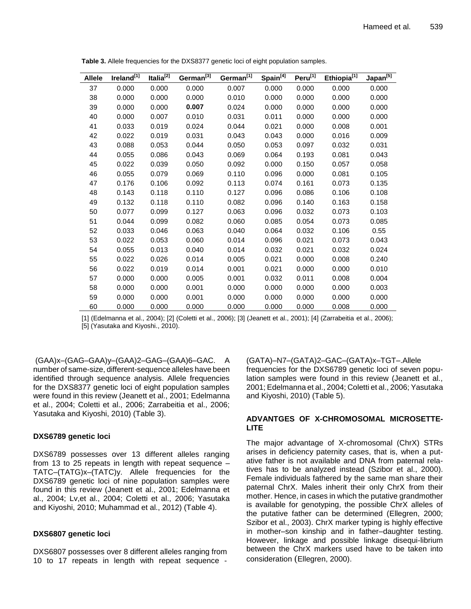| <b>Allele</b> | Ireland <sup>[1]</sup> | Italia <sup>[2]</sup> | German <sup>[3]</sup> | German <sup>[1]</sup> | Spain <sup>[4]</sup> | Peru <sup>[1]</sup> | Ethiopia <sup>[1]</sup> | Japan <sup>[5]</sup> |
|---------------|------------------------|-----------------------|-----------------------|-----------------------|----------------------|---------------------|-------------------------|----------------------|
| 37            | 0.000                  | 0.000                 | 0.000                 | 0.007                 | 0.000                | 0.000               | 0.000                   | 0.000                |
| 38            | 0.000                  | 0.000                 | 0.000                 | 0.010                 | 0.000                | 0.000               | 0.000                   | 0.000                |
| 39            | 0.000                  | 0.000                 | 0.007                 | 0.024                 | 0.000                | 0.000               | 0.000                   | 0.000                |
| 40            | 0.000                  | 0.007                 | 0.010                 | 0.031                 | 0.011                | 0.000               | 0.000                   | 0.000                |
| 41            | 0.033                  | 0.019                 | 0.024                 | 0.044                 | 0.021                | 0.000               | 0.008                   | 0.001                |
| 42            | 0.022                  | 0.019                 | 0.031                 | 0.043                 | 0.043                | 0.000               | 0.016                   | 0.009                |
| 43            | 0.088                  | 0.053                 | 0.044                 | 0.050                 | 0.053                | 0.097               | 0.032                   | 0.031                |
| 44            | 0.055                  | 0.086                 | 0.043                 | 0.069                 | 0.064                | 0.193               | 0.081                   | 0.043                |
| 45            | 0.022                  | 0.039                 | 0.050                 | 0.092                 | 0.000                | 0.150               | 0.057                   | 0.058                |
| 46            | 0.055                  | 0.079                 | 0.069                 | 0.110                 | 0.096                | 0.000               | 0.081                   | 0.105                |
| 47            | 0.176                  | 0.106                 | 0.092                 | 0.113                 | 0.074                | 0.161               | 0.073                   | 0.135                |
| 48            | 0.143                  | 0.118                 | 0.110                 | 0.127                 | 0.096                | 0.086               | 0.106                   | 0.108                |
| 49            | 0.132                  | 0.118                 | 0.110                 | 0.082                 | 0.096                | 0.140               | 0.163                   | 0.158                |
| 50            | 0.077                  | 0.099                 | 0.127                 | 0.063                 | 0.096                | 0.032               | 0.073                   | 0.103                |
| 51            | 0.044                  | 0.099                 | 0.082                 | 0.060                 | 0.085                | 0.054               | 0.073                   | 0.085                |
| 52            | 0.033                  | 0.046                 | 0.063                 | 0.040                 | 0.064                | 0.032               | 0.106                   | 0.55                 |
| 53            | 0.022                  | 0.053                 | 0.060                 | 0.014                 | 0.096                | 0.021               | 0.073                   | 0.043                |
| 54            | 0.055                  | 0.013                 | 0.040                 | 0.014                 | 0.032                | 0.021               | 0.032                   | 0.024                |
| 55            | 0.022                  | 0.026                 | 0.014                 | 0.005                 | 0.021                | 0.000               | 0.008                   | 0.240                |
| 56            | 0.022                  | 0.019                 | 0.014                 | 0.001                 | 0.021                | 0.000               | 0.000                   | 0.010                |
| 57            | 0.000                  | 0.000                 | 0.005                 | 0.001                 | 0.032                | 0.011               | 0.008                   | 0.004                |
| 58            | 0.000                  | 0.000                 | 0.001                 | 0.000                 | 0.000                | 0.000               | 0.000                   | 0.003                |
| 59            | 0.000                  | 0.000                 | 0.001                 | 0.000                 | 0.000                | 0.000               | 0.000                   | 0.000                |
| 60            | 0.000                  | 0.000                 | 0.000                 | 0.000                 | 0.000                | 0.000               | 0.008                   | 0.000                |

**Table 3.** Allele frequencies for the DXS8377 genetic loci of eight population samples.

[1] (Edelmanna et al., 2004); [2] (Coletti et al., 2006); [3] (Jeanett et al., 2001); [4] (Zarrabeitia et al., 2006); [5] [\(Yasutaka a](http://link.springer.com/search?facet-author=%22Yasutaka+Nakamura%22)nd [Kiyoshi.,](http://link.springer.com/search?facet-author=%22Kiyoshi+Minaguchi%22) 2010).

(GAA)x–(GAG–GAA)y–(GAA)2–GAG–(GAA)6–GAC. A number of same-size, different-sequence alleles have been identified through sequence analysis. Allele frequencies for the DXS8377 genetic loci of eight population samples were found in this review (Jeanett et al., 2001; Edelmanna et al., 2004; Coletti et al., 2006; Zarrabeitia et al., 2006; Yasutaka and Kiyoshi, 2010) (Table 3).

#### **DXS6789 genetic loci**

DXS6789 possesses over 13 different alleles ranging from 13 to 25 repeats in length with repeat sequence – TATC–(TATG)x–(TATC)y. Allele frequencies for the DXS6789 genetic loci of nine population samples were found in this review (Jeanett et al., 2001; Edelmanna et al., 2004; Lv,et al., 2004; Coletti et al., 2006; Yasutaka and Kiyoshi, 2010; Muhammad et al., 2012) (Table 4).

#### **DXS6807 genetic loci**

DXS6807 possesses over 8 different alleles ranging from 10 to 17 repeats in length with repeat sequence -

(GATA)–N7–(GATA)2–GAC–(GATA)x–TGT–.Allele frequencies for the DXS6789 genetic loci of seven population samples were found in this review (Jeanett et al., 2001; Edelmanna et al., 2004; Coletti et al., 2006; Yasutaka and Kiyoshi, 2010) (Table 5).

#### **ADVANTGES OF X-CHROMOSOMAL MICROSETTE-LITE**

The major advantage of X-chromosomal (ChrX) STRs arises in deficiency paternity cases, that is, when a putative father is not available and DNA from paternal relatives has to be analyzed instead (Szibor et al., 2000). Female individuals fathered by the same man share their paternal ChrX. Males inherit their only ChrX from their mother. Hence, in cases in which the putative grandmother is available for genotyping, the possible ChrX alleles of the putative father can be determined (Ellegren, 2000; Szibor et al., 2003). ChrX marker typing is highly effective in mother–son kinship and in father–daughter testing. However, linkage and possible linkage disequi-librium between the ChrX markers used have to be taken into consideration (Ellegren, 2000).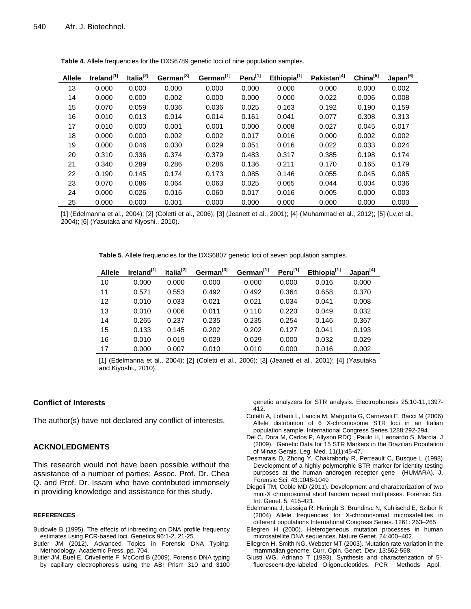| <b>Allele</b> | Ireland <sup>[1]</sup> | Italia <sup>[2]</sup> | German <sup>[3]</sup> | German <sup>[1]</sup> | Peru <sup>[1]</sup> | Ethiopia <sup>[1]</sup> | Pakistan <sup>[4]</sup> | China $^{[5]}$ | Japan <sup>[6]</sup> |
|---------------|------------------------|-----------------------|-----------------------|-----------------------|---------------------|-------------------------|-------------------------|----------------|----------------------|
| 13            | 0.000                  | 0.000                 | 0.000                 | 0.000                 | 0.000               | 0.000                   | 0.000                   | 0.000          | 0.002                |
| 14            | 0.000                  | 0.000                 | 0.002                 | 0.000                 | 0.000               | 0.000                   | 0.022                   | 0.006          | 0.008                |
| 15            | 0.070                  | 0.059                 | 0.036                 | 0.036                 | 0.025               | 0.163                   | 0.192                   | 0.190          | 0.159                |
| 16            | 0.010                  | 0.013                 | 0.014                 | 0.014                 | 0.161               | 0.041                   | 0.077                   | 0.308          | 0.313                |
| 17            | 0.010                  | 0.000                 | 0.001                 | 0.001                 | 0.000               | 0.008                   | 0.027                   | 0.045          | 0.017                |
| 18            | 0.000                  | 0.000                 | 0.002                 | 0.002                 | 0.017               | 0.016                   | 0.000                   | 0.002          | 0.002                |
| 19            | 0.000                  | 0.046                 | 0.030                 | 0.029                 | 0.051               | 0.016                   | 0.022                   | 0.033          | 0.024                |
| 20            | 0.310                  | 0.336                 | 0.374                 | 0.379                 | 0.483               | 0.317                   | 0.385                   | 0.198          | 0.174                |
| 21            | 0.340                  | 0.289                 | 0.286                 | 0.286                 | 0.136               | 0.211                   | 0.170                   | 0.165          | 0.179                |
| 22            | 0.190                  | 0.145                 | 0.174                 | 0.173                 | 0.085               | 0.146                   | 0.055                   | 0.045          | 0.085                |
| 23            | 0.070                  | 0.086                 | 0.064                 | 0.063                 | 0.025               | 0.065                   | 0.044                   | 0.004          | 0.036                |
| 24            | 0.000                  | 0.026                 | 0.016                 | 0.060                 | 0.017               | 0.016                   | 0.005                   | 0.000          | 0.003                |
| 25            | 0.000                  | 0.000                 | 0.001                 | 0.000                 | 0.000               | 0.000                   | 0.000                   | 0.000          | 0.000                |

**Table 4.** Allele frequencies for the DXS6789 genetic loci of nine population samples.

[1] (Edelmanna et al., 2004); [2] (Coletti et al., 2006); [3] (Jeanett et al., 2001); [4] (Muhammad et al., 2012); [5] (Lv,et al., 2004); [6] [\(Yasutaka a](http://link.springer.com/search?facet-author=%22Yasutaka+Nakamura%22)n[d Kiyoshi.,](http://link.springer.com/search?facet-author=%22Kiyoshi+Minaguchi%22) 2010).

**Table 5**. Allele frequencies for the DXS6807 genetic loci of seven population samples.

| <b>Allele</b> | Ireland <sup>[1]</sup> | Italia <sup>[2]</sup> | German <sup>[3]</sup> | German <sup>[1]</sup> | Peru <sup>[1]</sup> | Ethiopia <sup>[1]</sup> | Japan $^{[4]}$ |
|---------------|------------------------|-----------------------|-----------------------|-----------------------|---------------------|-------------------------|----------------|
| 10            | 0.000                  | 0.000                 | 0.000                 | 0.000                 | 0.000               | 0.016                   | 0.000          |
| 11            | 0.571                  | 0.553                 | 0.492                 | 0.492                 | 0.364               | 0.658                   | 0.370          |
| 12            | 0.010                  | 0.033                 | 0.021                 | 0.021                 | 0.034               | 0.041                   | 0.008          |
| 13            | 0.010                  | 0.006                 | 0.011                 | 0.110                 | 0.220               | 0.049                   | 0.032          |
| 14            | 0.265                  | 0.237                 | 0.235                 | 0.235                 | 0.254               | 0.146                   | 0.367          |
| 15            | 0.133                  | 0.145                 | 0.202                 | 0.202                 | 0.127               | 0.041                   | 0.193          |
| 16            | 0.010                  | 0.019                 | 0.029                 | 0.029                 | 0.000               | 0.032                   | 0.029          |
| 17            | 0.000                  | 0.007                 | 0.010                 | 0.010                 | 0.000               | 0.016                   | 0.002          |

[1] (Edelmanna et al., 2004); [2] (Coletti et al., 2006); [3] (Jeanett et al., 2001); [4] [\(Yasutaka](http://link.springer.com/search?facet-author=%22Yasutaka+Nakamura%22)  and [Kiyoshi.,](http://link.springer.com/search?facet-author=%22Kiyoshi+Minaguchi%22) 2010).

#### **Conflict of Interests**

The author(s) have not declared any conflict of interests.

#### **ACKNOLEDGMENTS**

This research would not have been possible without the assistance of a number of parties: Assoc. Prof. Dr. Chea Q. and Prof. Dr. Issam who have contributed immensely in providing knowledge and assistance for this study.

#### **REFERENCES**

- Budowle B (1995). The effects of inbreeding on DNA profile frequency estimates using PCR-based loci. Genetics 96:1-2, 21-25.
- Butler JM (2012). Advanced Topics in Forensic DNA Typing: Methodology. Academic Press. pp. 704.
- Butler JM, Buel E, Crivellente F, McCord B (2009). Forensic DNA typing by capillary electrophoresis using the ABI Prism 310 and 3100

genetic analyzers for STR analysis. Electrophoresis 25:10-11,1397- 412.

- Coletti A, Lottanti L, Lancia M, Margiotta G, Carnevali E, Bacci M (2006) Allele distribution of 6 X-chromosome STR loci in an Italian population sample. International Congress Series 1288:292-294.
- Del C, Dora M, Carlos P, Allyson RDQ , Paulo H, Leonardo S, Marcia J (2009). Genetic Data for 15 STR Markers in the Brazilian Population of Minas Gerais. Leg. Med. 11(1):45-47.
- Desmarais D, Zhong Y, Chakraborty R, Perreault C, Busque L (1998) Development of a highly polymorphic STR marker for identity testing purposes at the human androgen receptor gene (HUMARA). J. Forensic Sci. 43:1046-1049
- Diegoli TM, Coble MD (2011). Development and characterization of two mini-X chromosomal short tandem repeat multiplexes. Forensic Sci. Int. Genet. 5: 415-421.
- Edelmanna J, Lessiga R, Heringb S, Brundirsc N, Kuhlischd E, Szibor R (2004) Allele frequencies for X-chromosomal microsatellites in different populations International Congress Series. 1261: 263–265
- Ellegren H (2000). Heterogeneous mutation processes in human microsatellite DNA sequences. Nature Genet. 24:400–402.
- Ellegren H, Smith NG, Webster MT (2003). Mutation rate variation in the mammalian genome. Curr. Opin. Genet. Dev. 13:562-568.
- Giusti WG, Adriano T (1993). Synthesis and characterization of 5' fluorescent-dye-labeled Oligonucleotides. PCR Methods Appl.